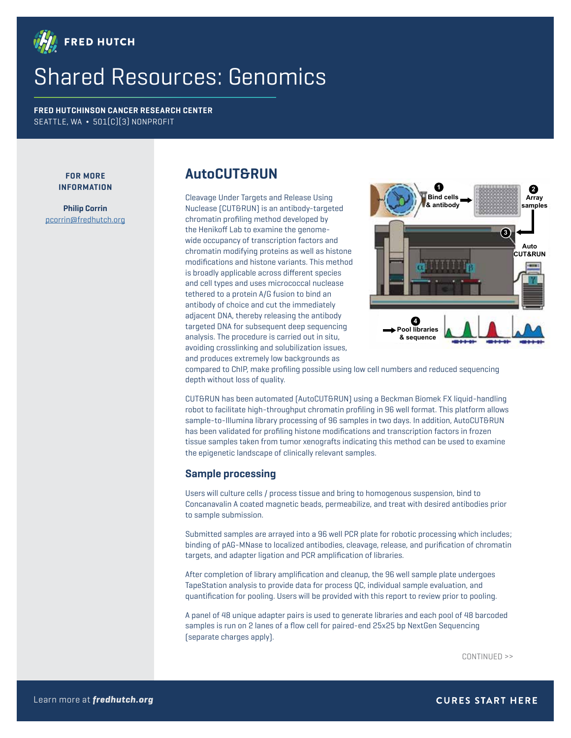

# Shared Resources: Genomics

**FRED HUTCHINSON CANCER RESEARCH CENTER** SEATTLE, WA **¬** 501(C)(3) NONPROFIT

#### **FOR MORE INFORMATION**

**Philip Corrin** pcorrin@fredhutch.org

# **AutoCUT&RUN**

Cleavage Under Targets and Release Using Nuclease (CUT&RUN) is an antibody-targeted chromatin profiling method developed by the Henikoff Lab to examine the genomewide occupancy of transcription factors and chromatin modifying proteins as well as histone modifications and histone variants. This method is broadly applicable across different species and cell types and uses micrococcal nuclease tethered to a protein A/G fusion to bind an antibody of choice and cut the immediately adjacent DNA, thereby releasing the antibody targeted DNA for subsequent deep sequencing analysis. The procedure is carried out in situ, avoiding crosslinking and solubilization issues, and produces extremely low backgrounds as



compared to ChIP, make profiling possible using low cell numbers and reduced sequencing depth without loss of quality.

CUT&RUN has been automated (AutoCUT&RUN) using a Beckman Biomek FX liquid-handling robot to facilitate high-throughput chromatin profiling in 96 well format. This platform allows sample-to-Illumina library processing of 96 samples in two days. In addition, AutoCUT&RUN has been validated for profiling histone modifications and transcription factors in frozen tissue samples taken from tumor xenografts indicating this method can be used to examine the epigenetic landscape of clinically relevant samples.

#### **Sample processing**

Users will culture cells / process tissue and bring to homogenous suspension, bind to Concanavalin A coated magnetic beads, permeabilize, and treat with desired antibodies prior to sample submission.

Submitted samples are arrayed into a 96 well PCR plate for robotic processing which includes; binding of pAG-MNase to localized antibodies, cleavage, release, and purification of chromatin targets, and adapter ligation and PCR amplification of libraries.

After completion of library amplification and cleanup, the 96 well sample plate undergoes TapeStation analysis to provide data for process QC, individual sample evaluation, and quantification for pooling. Users will be provided with this report to review prior to pooling.

A panel of 48 unique adapter pairs is used to generate libraries and each pool of 48 barcoded samples is run on 2 lanes of a flow cell for paired-end 25x25 bp NextGen Sequencing (separate charges apply).

CONTINUED >>